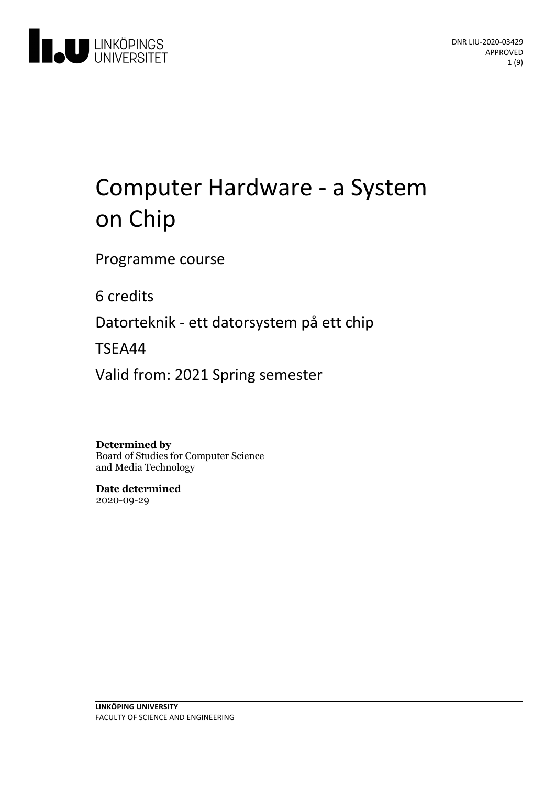

# Computer Hardware - a System on Chip

Programme course

6 credits

Datorteknik - ett datorsystem på ett chip

TSEA44

Valid from: 2021 Spring semester

**Determined by**

Board of Studies for Computer Science and Media Technology

**Date determined** 2020-09-29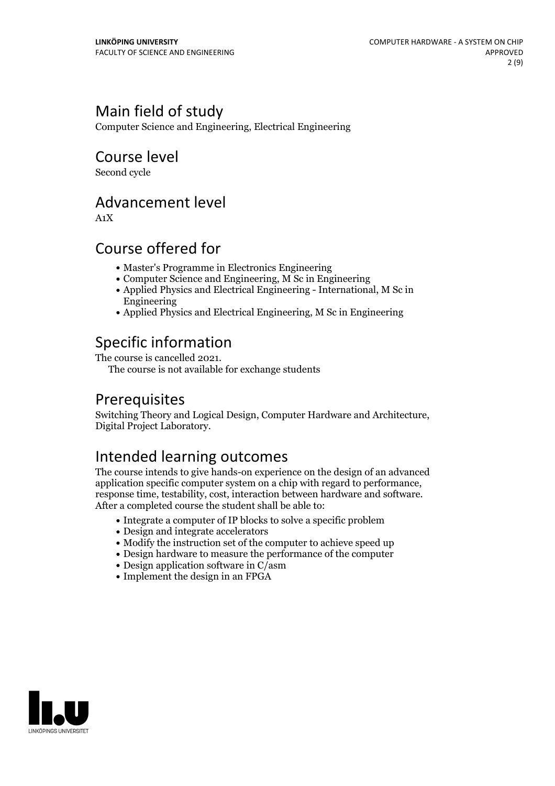# Main field of study

Computer Science and Engineering, Electrical Engineering

### Course level

Second cycle

### Advancement level

A1X

## Course offered for

- Master's Programme in Electronics Engineering
- Computer Science and Engineering, M Sc in Engineering
- Applied Physics and Electrical Engineering International, M Sc in Engineering
- Applied Physics and Electrical Engineering, M Sc in Engineering

# Specific information<br>The course is cancelled 2021.

The course is not available for exchange students

# Prerequisites

Switching Theory and Logical Design, Computer Hardware and Architecture, Digital Project Laboratory.

# Intended learning outcomes

The course intends to give hands-on experience on the design of an advanced application specific computer system on <sup>a</sup> chip with regard to performance, response time, testability, cost, interaction between hardware and software. After a completed course the student shall be able to:

- Integrate a computer of IP blocks to solve a specific problem
- Design and integrate accelerators
- Modify the instruction set of the computer to achieve speed up
- Design hardware to measure the performance of the computer
- Design application software in C/asm
- Implement the design in an FPGA

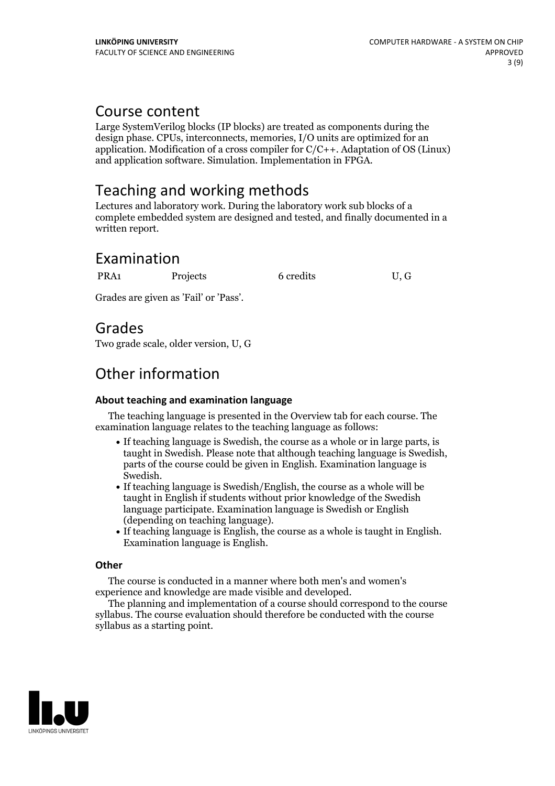### Course content

Large SystemVerilog blocks (IP blocks) are treated as components during the design phase. CPUs, interconnects, memories, I/O units are optimized for an application. Modification of a cross compiler for C/C++. Adaptation of OS (Linux) and application software. Simulation. Implementation in FPGA.

# Teaching and working methods

Lectures and laboratory work. During the laboratory work sub blocks of a complete embedded system are designed and tested, and finally documented in a written report.

## Examination

PRA1 Projects 6 credits U, G

Grades are given as'Fail' or 'Pass'.

### Grades

Two grade scale, older version, U, G

# Other information

#### **About teaching and examination language**

The teaching language is presented in the Overview tab for each course. The examination language relates to the teaching language as follows:

- If teaching language is Swedish, the course as a whole or in large parts, is taught in Swedish. Please note that although teaching language is Swedish, parts of the course could be given in English. Examination language is
- Swedish.<br>• If teaching language is Swedish/English, the course as a whole will be taught in English if students without prior knowledge of the Swedish language participate. Examination language is Swedish or English
- (depending on teaching language).<br>• If teaching language is English, the course as a whole is taught in English.<br>Examination language is English.

#### **Other**

The course is conducted in a manner where both men's and women's

experience and knowledge are made visible and developed. The planning and implementation of <sup>a</sup> course should correspond to the course syllabus. The course evaluation should therefore be conducted with the course syllabus as a starting point.

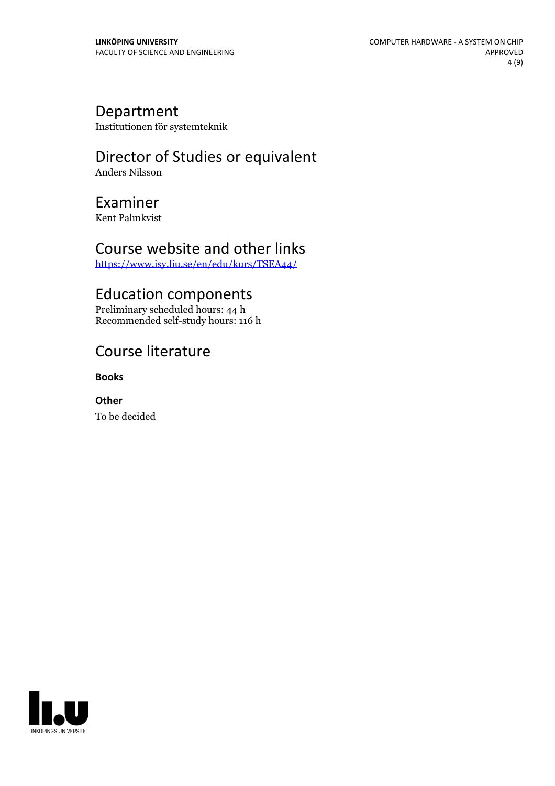### Department

Institutionen för systemteknik

### Director of Studies or equivalent Anders Nilsson

Examiner

Kent Palmkvist

### Course website and other links

<https://www.isy.liu.se/en/edu/kurs/TSEA44/>

## Education components

Preliminary scheduled hours: 44 h Recommended self-study hours: 116 h

# Course literature

**Books**

**Other** To be decided

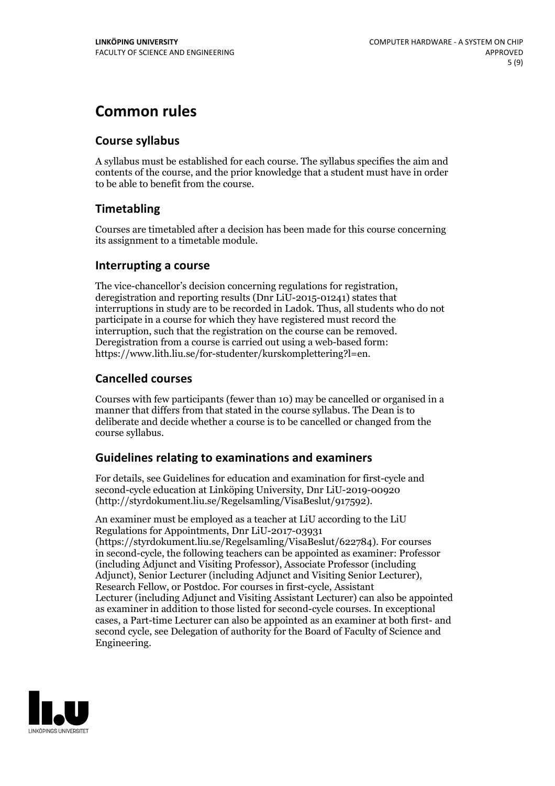# **Common rules**

#### **Course syllabus**

A syllabus must be established for each course. The syllabus specifies the aim and contents of the course, and the prior knowledge that a student must have in order to be able to benefit from the course.

### **Timetabling**

Courses are timetabled after a decision has been made for this course concerning its assignment to a timetable module.

#### **Interrupting a course**

The vice-chancellor's decision concerning regulations for registration, deregistration and reporting results (Dnr LiU-2015-01241) states that interruptions in study are to be recorded in Ladok. Thus, all students who do not participate in a course for which they have registered must record the interruption, such that the registration on the course can be removed. Deregistration from <sup>a</sup> course is carried outusing <sup>a</sup> web-based form: https://www.lith.liu.se/for-studenter/kurskomplettering?l=en.

### **Cancelled courses**

Courses with few participants (fewer than 10) may be cancelled or organised in a manner that differs from that stated in the course syllabus. The Dean is to deliberate and decide whether a course is to be cancelled or changed from the course syllabus.

### **Guidelines relatingto examinations and examiners**

For details, see Guidelines for education and examination for first-cycle and second-cycle education at Linköping University, Dnr LiU-2019-00920 (http://styrdokument.liu.se/Regelsamling/VisaBeslut/917592).

An examiner must be employed as a teacher at LiU according to the LiU Regulations for Appointments, Dnr LiU-2017-03931 (https://styrdokument.liu.se/Regelsamling/VisaBeslut/622784). For courses in second-cycle, the following teachers can be appointed as examiner: Professor (including Adjunct and Visiting Professor), Associate Professor (including Adjunct), Senior Lecturer (including Adjunct and Visiting Senior Lecturer), Research Fellow, or Postdoc. For courses in first-cycle, Assistant Lecturer (including Adjunct and Visiting Assistant Lecturer) can also be appointed as examiner in addition to those listed for second-cycle courses. In exceptional cases, a Part-time Lecturer can also be appointed as an examiner at both first- and second cycle, see Delegation of authority for the Board of Faculty of Science and Engineering.

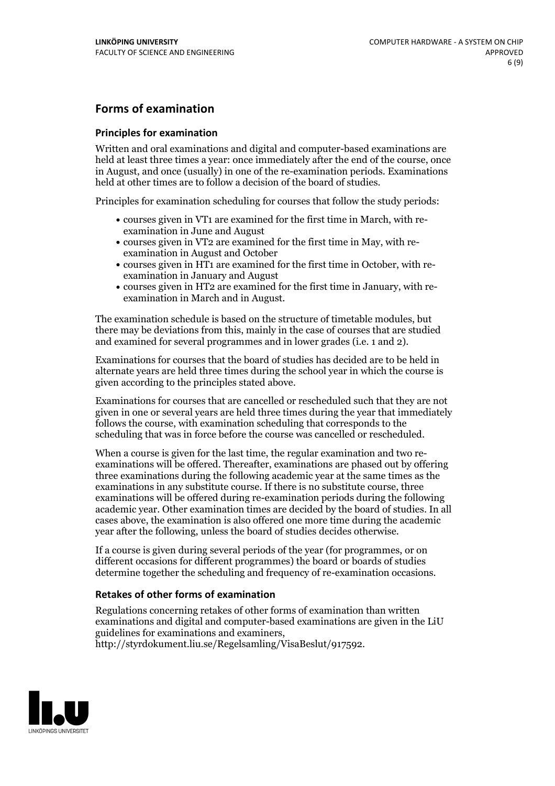#### **Forms of examination**

#### **Principles for examination**

Written and oral examinations and digital and computer-based examinations are held at least three times a year: once immediately after the end of the course, once in August, and once (usually) in one of the re-examination periods. Examinations held at other times are to follow a decision of the board of studies.

Principles for examination scheduling for courses that follow the study periods:

- courses given in VT1 are examined for the first time in March, with re-examination in June and August
- courses given in VT2 are examined for the first time in May, with re-examination in August and October
- courses given in HT1 are examined for the first time in October, with re-examination in January and August
- courses given in HT2 are examined for the first time in January, with re-examination in March and in August.

The examination schedule is based on the structure of timetable modules, but there may be deviations from this, mainly in the case of courses that are studied and examined for several programmes and in lower grades (i.e. 1 and 2).

Examinations for courses that the board of studies has decided are to be held in alternate years are held three times during the school year in which the course is given according to the principles stated above.

Examinations for courses that are cancelled orrescheduled such that they are not given in one or several years are held three times during the year that immediately follows the course, with examination scheduling that corresponds to the scheduling that was in force before the course was cancelled or rescheduled.

When a course is given for the last time, the regular examination and two re-<br>examinations will be offered. Thereafter, examinations are phased out by offering three examinations during the following academic year at the same times as the examinations in any substitute course. If there is no substitute course, three examinations will be offered during re-examination periods during the following academic year. Other examination times are decided by the board of studies. In all cases above, the examination is also offered one more time during the academic year after the following, unless the board of studies decides otherwise.

If a course is given during several periods of the year (for programmes, or on different occasions for different programmes) the board or boards of studies determine together the scheduling and frequency of re-examination occasions.

#### **Retakes of other forms of examination**

Regulations concerning retakes of other forms of examination than written examinations and digital and computer-based examinations are given in the LiU guidelines for examinations and examiners, http://styrdokument.liu.se/Regelsamling/VisaBeslut/917592.

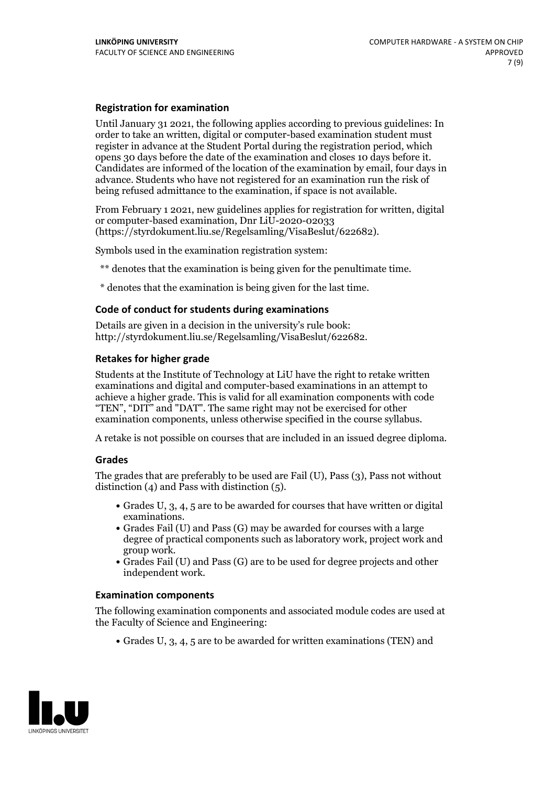#### **Registration for examination**

Until January 31 2021, the following applies according to previous guidelines: In order to take an written, digital or computer-based examination student must register in advance at the Student Portal during the registration period, which Candidates are informed of the location of the examination by email, four days in advance. Students who have not registered for an examination run the risk of being refused admittance to the examination, if space is not available.

From February 1 2021, new guidelines applies for registration for written, digital or computer-based examination, Dnr LiU-2020-02033 (https://styrdokument.liu.se/Regelsamling/VisaBeslut/622682).

Symbols used in the examination registration system:

\*\* denotes that the examination is being given for the penultimate time.

\* denotes that the examination is being given for the last time.

#### **Code of conduct for students during examinations**

Details are given in a decision in the university's rule book: http://styrdokument.liu.se/Regelsamling/VisaBeslut/622682.

#### **Retakes for higher grade**

Students at the Institute of Technology at LiU have the right to retake written examinations and digital and computer-based examinations in an attempt to achieve a higher grade. This is valid for all examination components with code "TEN", "DIT" and "DAT". The same right may not be exercised for other examination components, unless otherwise specified in the course syllabus.

A retake is not possible on courses that are included in an issued degree diploma.

#### **Grades**

The grades that are preferably to be used are Fail (U), Pass (3), Pass not without distinction  $(4)$  and Pass with distinction  $(5)$ .

- Grades U, 3, 4, 5 are to be awarded for courses that have written or digital examinations.<br>• Grades Fail (U) and Pass (G) may be awarded for courses with a large
- degree of practical components such as laboratory work, project work and
- $\bullet$  Grades Fail (U) and Pass (G) are to be used for degree projects and other independent work.

#### **Examination components**

The following examination components and associated module codes are used at the Faculty of Science and Engineering:

Grades U, 3, 4, 5 are to be awarded for written examinations (TEN) and

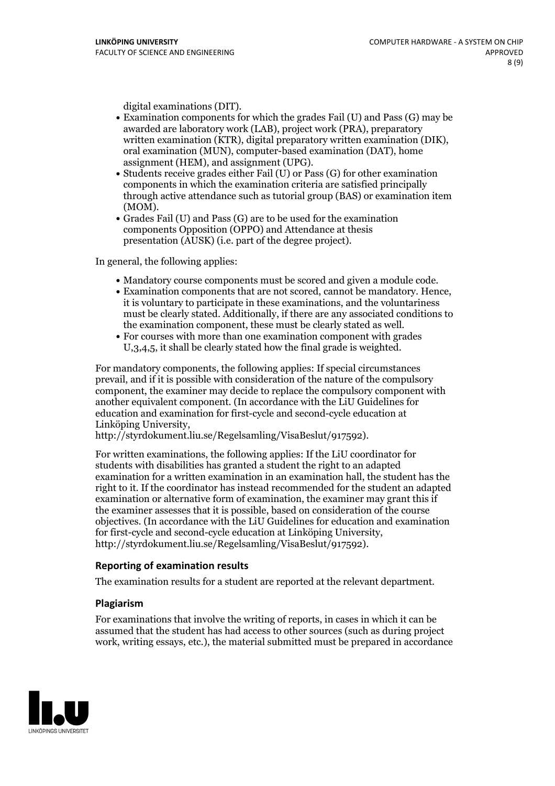- digital examinations (DIT).<br>• Examination components for which the grades Fail (U) and Pass (G) may be awarded are laboratory work (LAB), project work (PRA), preparatory written examination (KTR), digital preparatory written examination (DIK), oral examination (MUN), computer-based examination (DAT), home
- assignment (HEM), and assignment (UPG).<br>• Students receive grades either Fail (U) or Pass (G) for other examination components in which the examination criteria are satisfied principally through active attendance such as tutorial group (BAS) or examination item
- (MOM).<br>• Grades Fail (U) and Pass (G) are to be used for the examination components Opposition (OPPO) and Attendance at thesis presentation (AUSK) (i.e. part of the degree project).

In general, the following applies:

- 
- Mandatory course components must be scored and given <sup>a</sup> module code. Examination components that are not scored, cannot be mandatory. Hence, it is voluntary to participate in these examinations, and the voluntariness must be clearly stated. Additionally, if there are any associated conditions to the examination component, these must be clearly stated as well.<br>• For courses with more than one examination component with grades
- U,3,4,5, it shall be clearly stated how the final grade is weighted.

For mandatory components, the following applies: If special circumstances prevail, and if it is possible with consideration of the nature ofthe compulsory component, the examiner may decide to replace the compulsory component with another equivalent component. (In accordance with the LiU Guidelines for education and examination for first-cycle and second-cycle education at Linköping University, http://styrdokument.liu.se/Regelsamling/VisaBeslut/917592).

For written examinations, the following applies: If the LiU coordinator for students with disabilities has granted a student the right to an adapted examination for a written examination in an examination hall, the student has the right to it. If the coordinator has instead recommended for the student an adapted examination or alternative form of examination, the examiner may grant this if the examiner assesses that it is possible, based on consideration of the course objectives. (In accordance with the LiU Guidelines for education and examination for first-cycle and second-cycle education at Linköping University, http://styrdokument.liu.se/Regelsamling/VisaBeslut/917592).

#### **Reporting of examination results**

The examination results for a student are reported at the relevant department.

#### **Plagiarism**

For examinations that involve the writing of reports, in cases in which it can be assumed that the student has had access to other sources (such as during project work, writing essays, etc.), the material submitted must be prepared in accordance